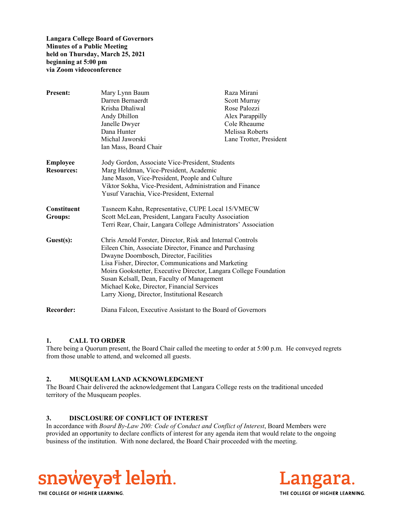**Langara College Board of Governors Minutes of a Public Meeting held on Thursday, March 25, 2021 beginning at 5:00 pm via Zoom videoconference** 

| <b>Present:</b>    | Mary Lynn Baum                                                    | Raza Mirani             |
|--------------------|-------------------------------------------------------------------|-------------------------|
|                    | Darren Bernaerdt                                                  | Scott Murray            |
|                    | Krisha Dhaliwal                                                   | Rose Palozzi            |
|                    | Andy Dhillon                                                      | Alex Parappilly         |
|                    | Janelle Dwyer                                                     | Cole Rheaume            |
|                    | Dana Hunter                                                       | Melissa Roberts         |
|                    | Michal Jaworski                                                   | Lane Trotter, President |
|                    | Ian Mass, Board Chair                                             |                         |
| <b>Employee</b>    | Jody Gordon, Associate Vice-President, Students                   |                         |
| <b>Resources:</b>  | Marg Heldman, Vice-President, Academic                            |                         |
|                    | Jane Mason, Vice-President, People and Culture                    |                         |
|                    | Viktor Sokha, Vice-President, Administration and Finance          |                         |
|                    | Yusuf Varachia, Vice-President, External                          |                         |
| <b>Constituent</b> | Tasneem Kahn, Representative, CUPE Local 15/VMECW                 |                         |
| Groups:            | Scott McLean, President, Langara Faculty Association              |                         |
|                    | Terri Rear, Chair, Langara College Administrators' Association    |                         |
| Guest(s):          | Chris Arnold Forster, Director, Risk and Internal Controls        |                         |
|                    | Eileen Chin, Associate Director, Finance and Purchasing           |                         |
|                    | Dwayne Doornbosch, Director, Facilities                           |                         |
|                    | Lisa Fisher, Director, Communications and Marketing               |                         |
|                    | Moira Gookstetter, Executive Director, Langara College Foundation |                         |
|                    | Susan Kelsall, Dean, Faculty of Management                        |                         |
|                    | Michael Koke, Director, Financial Services                        |                         |
|                    | Larry Xiong, Director, Institutional Research                     |                         |
| <b>Recorder:</b>   | Diana Falcon, Executive Assistant to the Board of Governors       |                         |

# **1. CALL TO ORDER**

There being a Quorum present, the Board Chair called the meeting to order at 5:00 p.m. He conveyed regrets from those unable to attend, and welcomed all guests.

# **2. MUSQUEAM LAND ACKNOWLEDGMENT**

The Board Chair delivered the acknowledgement that Langara College rests on the traditional unceded territory of the Musqueam peoples.

# **3. DISCLOSURE OF CONFLICT OF INTEREST**

In accordance with *Board By-Law 200: Code of Conduct and Conflict of Interest*, Board Members were provided an opportunity to declare conflicts of interest for any agenda item that would relate to the ongoing business of the institution. With none declared, the Board Chair proceeded with the meeting.



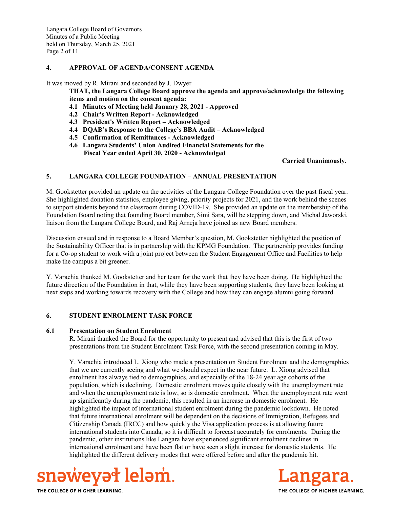Langara College Board of Governors Minutes of a Public Meeting held on Thursday, March 25, 2021 Page 2 of 11

#### **4. APPROVAL OF AGENDA/CONSENT AGENDA**

It was moved by R. Mirani and seconded by J. Dwyer

**THAT, the Langara College Board approve the agenda and approve/acknowledge the following items and motion on the consent agenda:**

- **4.1 Minutes of Meeting held January 28, 2021 Approved**
- **4.2 Chair's Written Report Acknowledged**
- **4.3 President's Written Report Acknowledged**
- **4.4 DQAB's Response to the College's BBA Audit Acknowledged**
- **4.5 Confirmation of Remittances Acknowledged**
- **4.6 Langara Students' Union Audited Financial Statements for the Fiscal Year ended April 30, 2020 - Acknowledged**

**Carried Unanimously.** 

# **5. LANGARA COLLEGE FOUNDATION – ANNUAL PRESENTATION**

M. Gookstetter provided an update on the activities of the Langara College Foundation over the past fiscal year. She highlighted donation statistics, employee giving, priority projects for 2021, and the work behind the scenes to support students beyond the classroom during COVID-19. She provided an update on the membership of the Foundation Board noting that founding Board member, Simi Sara, will be stepping down, and Michal Jaworski, liaison from the Langara College Board, and Raj Arneja have joined as new Board members.

Discussion ensued and in response to a Board Member's question, M. Gookstetter highlighted the position of the Sustainability Officer that is in partnership with the KPMG Foundation. The partnership provides funding for a Co-op student to work with a joint project between the Student Engagement Office and Facilities to help make the campus a bit greener.

Y. Varachia thanked M. Gookstetter and her team for the work that they have been doing. He highlighted the future direction of the Foundation in that, while they have been supporting students, they have been looking at next steps and working towards recovery with the College and how they can engage alumni going forward.

#### **6. STUDENT ENROLMENT TASK FORCE**

#### **6.1 Presentation on Student Enrolment**

 R. Mirani thanked the Board for the opportunity to present and advised that this is the first of two presentations from the Student Enrolment Task Force, with the second presentation coming in May.

Y. Varachia introduced L. Xiong who made a presentation on Student Enrolment and the demographics that we are currently seeing and what we should expect in the near future. L. Xiong advised that enrolment has always tied to demographics, and especially of the 18-24 year age cohorts of the population, which is declining. Domestic enrolment moves quite closely with the unemployment rate and when the unemployment rate is low, so is domestic enrolment. When the unemployment rate went up significantly during the pandemic, this resulted in an increase in domestic enrolment. He highlighted the impact of international student enrolment during the pandemic lockdown. He noted that future international enrolment will be dependent on the decisions of Immigration, Refugees and Citizenship Canada (IRCC) and how quickly the Visa application process is at allowing future international students into Canada, so it is difficult to forecast accurately for enrolments. During the pandemic, other institutions like Langara have experienced significant enrolment declines in international enrolment and have been flat or have seen a slight increase for domestic students. He highlighted the different delivery modes that were offered before and after the pandemic hit.



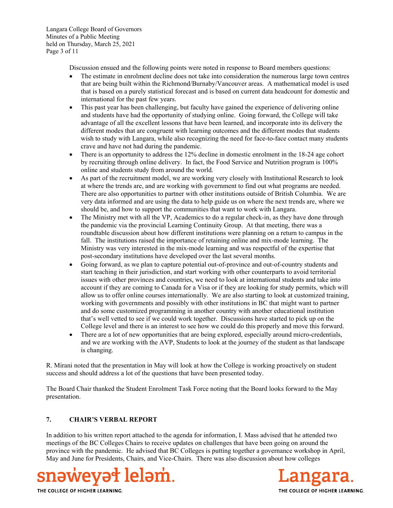Langara College Board of Governors Minutes of a Public Meeting held on Thursday, March 25, 2021 Page 3 of 11

Discussion ensued and the following points were noted in response to Board members questions:

- The estimate in enrolment decline does not take into consideration the numerous large town centres that are being built within the Richmond/Burnaby/Vancouver areas. A mathematical model is used that is based on a purely statistical forecast and is based on current data headcount for domestic and international for the past few years.
- This past year has been challenging, but faculty have gained the experience of delivering online and students have had the opportunity of studying online. Going forward, the College will take advantage of all the excellent lessons that have been learned, and incorporate into its delivery the different modes that are congruent with learning outcomes and the different modes that students wish to study with Langara, while also recognizing the need for face-to-face contact many students crave and have not had during the pandemic.
- There is an opportunity to address the 12% decline in domestic enrolment in the 18-24 age cohort by recruiting through online delivery. In fact, the Food Service and Nutrition program is 100% online and students study from around the world.
- As part of the recruitment model, we are working very closely with Institutional Research to look at where the trends are, and are working with government to find out what programs are needed. There are also opportunities to partner with other institutions outside of British Columbia. We are very data informed and are using the data to help guide us on where the next trends are, where we should be, and how to support the communities that want to work with Langara.
- The Ministry met with all the VP, Academics to do a regular check-in, as they have done through the pandemic via the provincial Learning Continuity Group. At that meeting, there was a roundtable discussion about how different institutions were planning on a return to campus in the fall. The institutions raised the importance of retaining online and mix-mode learning. The Ministry was very interested in the mix-mode learning and was respectful of the expertise that post-secondary institutions have developed over the last several months.
- Going forward, as we plan to capture potential out-of-province and out-of-country students and start teaching in their jurisdiction, and start working with other counterparts to avoid territorial issues with other provinces and countries, we need to look at international students and take into account if they are coming to Canada for a Visa or if they are looking for study permits, which will allow us to offer online courses internationally. We are also starting to look at customized training, working with governments and possibly with other institutions in BC that might want to partner and do some customized programming in another country with another educational institution that's well vetted to see if we could work together. Discussions have started to pick up on the College level and there is an interest to see how we could do this properly and move this forward.
- There are a lot of new opportunities that are being explored, especially around micro-credentials, and we are working with the AVP, Students to look at the journey of the student as that landscape is changing.

R. Mirani noted that the presentation in May will look at how the College is working proactively on student success and should address a lot of the questions that have been presented today.

The Board Chair thanked the Student Enrolment Task Force noting that the Board looks forward to the May presentation.

# **7. CHAIR'S VERBAL REPORT**

In addition to his written report attached to the agenda for information, I. Mass advised that he attended two meetings of the BC Colleges Chairs to receive updates on challenges that have been going on around the province with the pandemic. He advised that BC Colleges is putting together a governance workshop in April, May and June for Presidents, Chairs, and Vice-Chairs. There was also discussion about how colleges



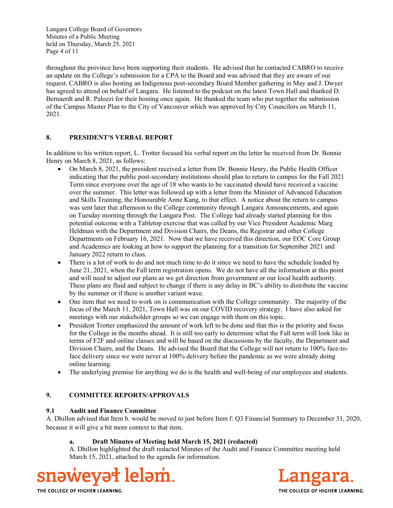Langara College Board of Governors Minutes of a Public Meeting held on Thursday, March 25, 2021 Page 4 of 11

throughout the province have been supporting their students. He advised that he contacted CABRO to receive an update on the College's submission for a CPA to the Board and was advised that they are aware of our request. CABRO is also hosting an Indigenous post-secondary Board Member gathering in May and J. Dwyer has agreed to attend on behalf of Langara. He listened to the podcast on the latest Town Hall and thanked D. Bernaerdt and R. Palozzi for their hosting once again. He thanked the team who put together the submission of the Campus Master Plan to the City of Vancouver which was approved by City Councilors on March 11, 2021.

# **8. PRESIDENT'S VERBAL REPORT**

In addition to his written report, L. Trotter focused his verbal report on the letter he received from Dr. Bonnie Henry on March 8, 2021, as follows:

- On March 8, 2021, the president received a letter from Dr. Bonnie Henry, the Public Health Officer indicating that the public post-secondary institutions should plan to return to campus for the Fall 2021 Term since everyone over the age of 18 who wants to be vaccinated should have received a vaccine over the summer. This letter was followed up with a letter from the Minister of Advanced Education and Skills Training, the Honourable Anne Kang, to that effect. A notice about the return to campus was sent later that afternoon to the College community through Langara Announcements, and again on Tuesday morning through the Langara Post. The College had already started planning for this potential outcome with a Tabletop exercise that was called by our Vice President Academic Marg Heldman with the Department and Division Chairs, the Deans, the Registrar and other College Departments on February 16, 2021. Now that we have received this direction, our EOC Core Group and Academics are looking at how to support the planning for a transition for September 2021 and January 2022 return to class.
- There is a lot of work to do and not much time to do it since we need to have the schedule loaded by June 21, 2021, when the Fall term registration opens. We do not have all the information at this point and will need to adjust our plans as we get direction from government or our local health authority. These plans are fluid and subject to change if there is any delay in BC's ability to distribute the vaccine by the summer or if there is another variant wave.
- One item that we need to work on is communication with the College community. The majority of the focus of the March 11, 2021, Town Hall was on our COVID recovery strategy. I have also asked for meetings with our stakeholder groups so we can engage with them on this topic.
- President Trotter emphasized the amount of work left to be done and that this is the priority and focus for the College in the months ahead. It is still too early to determine what the Fall term will look like in terms of F2F and online classes and will be based on the discussions by the faculty, the Department and Division Chairs, and the Deans. He advised the Board that the College will not return to 100% face-toface delivery since we were never at 100% delivery before the pandemic as we were already doing online learning.
- The underlying premise for anything we do is the health and well-being of our employees and students.

# **9. COMMITTEE REPORTS/APPROVALS**

# **9.1 Audit and Finance Committee**

A. Dhillon advised that Item b. would be moved to just before Item f: Q3 Financial Summary to December 31, 2020, because it will give a bit more context to that item.

# **a. Draft Minutes of Meeting held March 15, 2021 (redacted)**

A. Dhillon highlighted the draft redacted Minutes of the Audit and Finance Committee meeting held March 15, 2021, attached to the agenda for information.



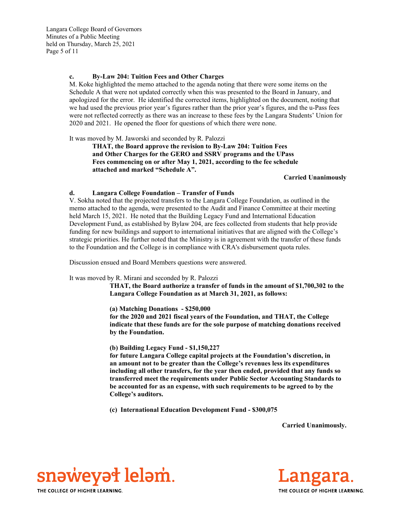Langara College Board of Governors Minutes of a Public Meeting held on Thursday, March 25, 2021 Page 5 of 11

#### **c. By-Law 204: Tuition Fees and Other Charges**

M. Koke highlighted the memo attached to the agenda noting that there were some items on the Schedule A that were not updated correctly when this was presented to the Board in January, and apologized for the error. He identified the corrected items, highlighted on the document, noting that we had used the previous prior year's figures rather than the prior year's figures, and the u-Pass fees were not reflected correctly as there was an increase to these fees by the Langara Students' Union for 2020 and 2021. He opened the floor for questions of which there were none.

It was moved by M. Jaworski and seconded by R. Palozzi

**THAT, the Board approve the revision to By-Law 204: Tuition Fees and Other Charges for the GERO and SSRV programs and the UPass Fees commencing on or after May 1, 2021, according to the fee schedule attached and marked "Schedule A".** 

#### **Carried Unanimously**

#### **d. Langara College Foundation – Transfer of Funds**

V. Sokha noted that the projected transfers to the Langara College Foundation, as outlined in the memo attached to the agenda, were presented to the Audit and Finance Committee at their meeting held March 15, 2021. He noted that the Building Legacy Fund and International Education Development Fund, as established by Bylaw 204, are fees collected from students that help provide funding for new buildings and support to international initiatives that are aligned with the College's strategic priorities. He further noted that the Ministry is in agreement with the transfer of these funds to the Foundation and the College is in compliance with CRA's disbursement quota rules.

Discussion ensued and Board Members questions were answered.

It was moved by R. Mirani and seconded by R. Palozzi

**THAT, the Board authorize a transfer of funds in the amount of \$1,700,302 to the Langara College Foundation as at March 31, 2021, as follows:** 

**(a) Matching Donations - \$250,000** 

**for the 2020 and 2021 fiscal years of the Foundation, and THAT, the College indicate that these funds are for the sole purpose of matching donations received by the Foundation.** 

**(b) Building Legacy Fund - \$1,150,227** 

**for future Langara College capital projects at the Foundation's discretion, in an amount not to be greater than the College's revenues less its expenditures including all other transfers, for the year then ended, provided that any funds so transferred meet the requirements under Public Sector Accounting Standards to be accounted for as an expense, with such requirements to be agreed to by the College's auditors.** 

**(c) International Education Development Fund - \$300,075** 

**Carried Unanimously.** 



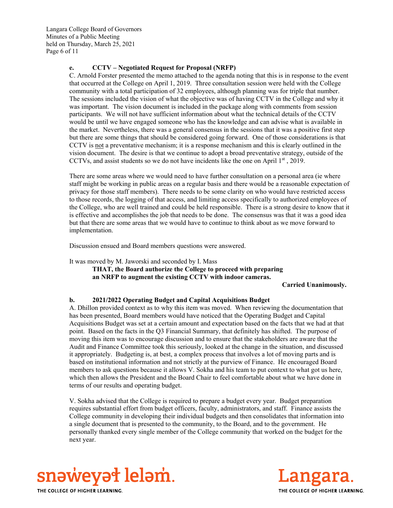#### **e. CCTV – Negotiated Request for Proposal (NRFP)**

C. Arnold Forster presented the memo attached to the agenda noting that this is in response to the event that occurred at the College on April 1, 2019. Three consultation session were held with the College community with a total participation of 32 employees, although planning was for triple that number. The sessions included the vision of what the objective was of having CCTV in the College and why it was important. The vision document is included in the package along with comments from session participants. We will not have sufficient information about what the technical details of the CCTV would be until we have engaged someone who has the knowledge and can advise what is available in the market. Nevertheless, there was a general consensus in the sessions that it was a positive first step but there are some things that should be considered going forward. One of those considerations is that CCTV is not a preventative mechanism; it is a response mechanism and this is clearly outlined in the vision document. The desire is that we continue to adopt a broad preventative strategy, outside of the CCTVs, and assist students so we do not have incidents like the one on April  $1<sup>st</sup>$ , 2019.

There are some areas where we would need to have further consultation on a personal area (ie where staff might be working in public areas on a regular basis and there would be a reasonable expectation of privacy for those staff members). There needs to be some clarity on who would have restricted access to those records, the logging of that access, and limiting access specifically to authorized employees of the College, who are well trained and could be held responsible. There is a strong desire to know that it is effective and accomplishes the job that needs to be done. The consensus was that it was a good idea but that there are some areas that we would have to continue to think about as we move forward to implementation.

Discussion ensued and Board members questions were answered.

It was moved by M. Jaworski and seconded by I. Mass

 **THAT, the Board authorize the College to proceed with preparing an NRFP to augment the existing CCTV with indoor cameras.** 

**Carried Unanimously.** 

#### **b. 2021/2022 Operating Budget and Capital Acquisitions Budget**

A. Dhillon provided context as to why this item was moved. When reviewing the documentation that has been presented, Board members would have noticed that the Operating Budget and Capital Acquisitions Budget was set at a certain amount and expectation based on the facts that we had at that point. Based on the facts in the Q3 Financial Summary, that definitely has shifted. The purpose of moving this item was to encourage discussion and to ensure that the stakeholders are aware that the Audit and Finance Committee took this seriously, looked at the change in the situation, and discussed it appropriately. Budgeting is, at best, a complex process that involves a lot of moving parts and is based on institutional information and not strictly at the purview of Finance. He encouraged Board members to ask questions because it allows V. Sokha and his team to put context to what got us here, which then allows the President and the Board Chair to feel comfortable about what we have done in terms of our results and operating budget.

V. Sokha advised that the College is required to prepare a budget every year. Budget preparation requires substantial effort from budget officers, faculty, administrators, and staff. Finance assists the College community in developing their individual budgets and then consolidates that information into a single document that is presented to the community, to the Board, and to the government. He personally thanked every single member of the College community that worked on the budget for the next year.



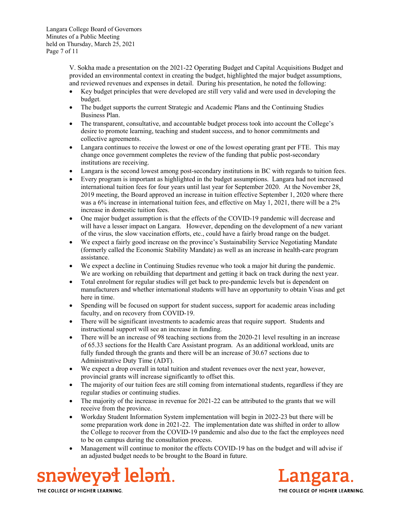V. Sokha made a presentation on the 2021-22 Operating Budget and Capital Acquisitions Budget and provided an environmental context in creating the budget, highlighted the major budget assumptions, and reviewed revenues and expenses in detail. During his presentation, he noted the following:

- Key budget principles that were developed are still very valid and were used in developing the budget.
- The budget supports the current Strategic and Academic Plans and the Continuing Studies Business Plan.
- The transparent, consultative, and accountable budget process took into account the College's desire to promote learning, teaching and student success, and to honor commitments and collective agreements.
- Langara continues to receive the lowest or one of the lowest operating grant per FTE. This may change once government completes the review of the funding that public post-secondary institutions are receiving.
- Langara is the second lowest among post-secondary institutions in BC with regards to tuition fees.
- Every program is important as highlighted in the budget assumptions. Langara had not increased international tuition fees for four years until last year for September 2020. At the November 28, 2019 meeting, the Board approved an increase in tuition effective September 1, 2020 where there was a 6% increase in international tuition fees, and effective on May 1, 2021, there will be a 2% increase in domestic tuition fees.
- One major budget assumption is that the effects of the COVID-19 pandemic will decrease and will have a lesser impact on Langara. However, depending on the development of a new variant of the virus, the slow vaccination efforts, etc., could have a fairly broad range on the budget.
- We expect a fairly good increase on the province's Sustainability Service Negotiating Mandate (formerly called the Economic Stability Mandate) as well as an increase in health-care program assistance.
- We expect a decline in Continuing Studies revenue who took a major hit during the pandemic. We are working on rebuilding that department and getting it back on track during the next year.
- Total enrolment for regular studies will get back to pre-pandemic levels but is dependent on manufacturers and whether international students will have an opportunity to obtain Visas and get here in time.
- Spending will be focused on support for student success, support for academic areas including faculty, and on recovery from COVID-19.
- There will be significant investments to academic areas that require support. Students and instructional support will see an increase in funding.
- There will be an increase of 98 teaching sections from the 2020-21 level resulting in an increase of 65.33 sections for the Health Care Assistant program. As an additional workload, units are fully funded through the grants and there will be an increase of 30.67 sections due to Administrative Duty Time (ADT).
- We expect a drop overall in total tuition and student revenues over the next year, however, provincial grants will increase significantly to offset this.
- The majority of our tuition fees are still coming from international students, regardless if they are regular studies or continuing studies.
- The majority of the increase in revenue for 2021-22 can be attributed to the grants that we will receive from the province.
- Workday Student Information System implementation will begin in 2022-23 but there will be some preparation work done in 2021-22. The implementation date was shifted in order to allow the College to recover from the COVID-19 pandemic and also due to the fact the employees need to be on campus during the consultation process.
- Management will continue to monitor the effects COVID-19 has on the budget and will advise if an adjusted budget needs to be brought to the Board in future.



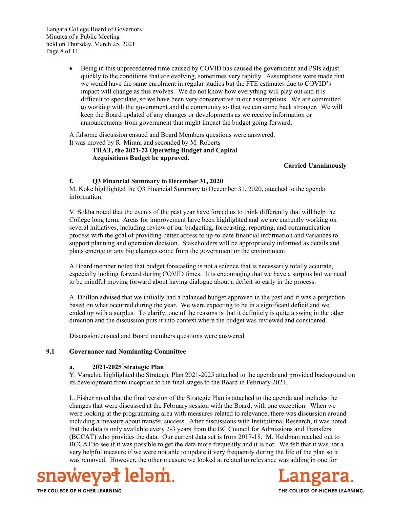Langara College Board of Governors Minutes of a Public Meeting held on Thursday, March 25, 2021 Page 8 of 11

> Being in this unprecedented time caused by COVID has caused the government and PSIs adjust quickly to the conditions that are evolving, sometimes very rapidly. Assumptions were made that we would have the same enrolment in regular studies but the FTE estimates due to COVID's impact will change as this evolves. We do not know how everything will play out and it is difficult to speculate, so we have been very conservative in our assumptions. We are committed to working with the government and the community so that we can come back stronger. We will keep the Board updated of any changes or developments as we receive information or announcements from government that might impact the budget going forward.

A fulsome discussion ensued and Board Members questions were answered. It was moved by R. Mirani and seconded by M. Roberts

# **THAT, the 2021-22 Operating Budget and Capital Acquisitions Budget be approved.**

### **Carried Unanimously**

### **f. Q3 Financial Summary to December 31, 2020**

M. Koke highlighted the Q3 Financial Summary to December 31, 2020, attached to the agenda information.

V. Sokha noted that the events of the past year have forced us to think differently that will help the College long term. Areas for improvement have been highlighted and we are currently working on several initiatives, including review of our budgeting, forecasting, reporting, and communication process with the goal of providing better access to up-to-date financial information and variances to support planning and operation decision. Stakeholders will be appropriately informed as details and plans emerge or any big changes come from the government or the environment.

A Board member noted that budget forecasting is not a science that is necessarily totally accurate, especially looking forward during COVID times. It is encouraging that we have a surplus but we need to be mindful moving forward about having dialogue about a deficit so early in the process.

A. Dhillon advised that we initially had a balanced budget approved in the past and it was a projection based on what occurred during the year. We were expecting to be in a significant deficit and we ended up with a surplus. To clarify, one of the reasons is that it definitely is quite a swing in the other direction and the discussion puts it into context where the budget was reviewed and considered.

Discussion ensued and Board members questions were answered.

# **9.1 Governance and Nominating Committee**

#### **a. 2021-2025 Strategic Plan**

Y. Varachia highlighted the Strategic Plan 2021-2025 attached to the agenda and provided background on its development from inception to the final stages to the Board in February 2021.

L. Fisher noted that the final version of the Strategic Plan is attached to the agenda and includes the changes that were discussed at the February session with the Board, with one exception. When we were looking at the programming area with measures related to relevance, there was discussion around including a measure about transfer success. After discussions with Institutional Research, it was noted that the data is only available every 2-3 years from the BC Council for Admissions and Transfers (BCCAT) who provides the data. Our current data set is from 2017-18. M. Heldman reached out to BCCAT to see if it was possible to get the data more frequently and it is not. We felt that it was not a very helpful measure if we were not able to update it very frequently during the life of the plan so it was removed. However, the other measure we looked at related to relevance was adding in one for



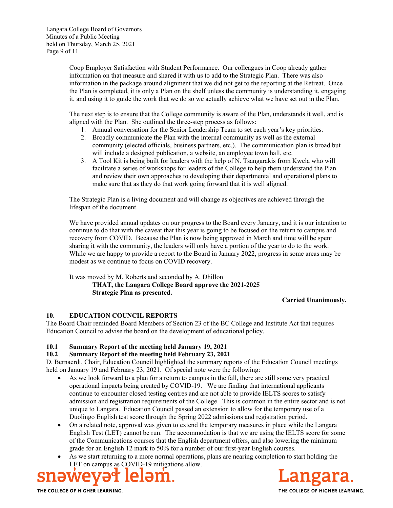Coop Employer Satisfaction with Student Performance. Our colleagues in Coop already gather information on that measure and shared it with us to add to the Strategic Plan. There was also information in the package around alignment that we did not get to the reporting at the Retreat. Once the Plan is completed, it is only a Plan on the shelf unless the community is understanding it, engaging it, and using it to guide the work that we do so we actually achieve what we have set out in the Plan.

The next step is to ensure that the College community is aware of the Plan, understands it well, and is aligned with the Plan. She outlined the three-step process as follows:

- 1. Annual conversation for the Senior Leadership Team to set each year's key priorities.
- 2. Broadly communicate the Plan with the internal community as well as the external community (elected officials, business partners, etc.). The communication plan is broad but will include a designed publication, a website, an employee town hall, etc.
- 3. A Tool Kit is being built for leaders with the help of N. Tsangarakis from Kwela who will facilitate a series of workshops for leaders of the College to help them understand the Plan and review their own approaches to developing their departmental and operational plans to make sure that as they do that work going forward that it is well aligned.

The Strategic Plan is a living document and will change as objectives are achieved through the lifespan of the document.

We have provided annual updates on our progress to the Board every January, and it is our intention to continue to do that with the caveat that this year is going to be focused on the return to campus and recovery from COVID. Because the Plan is now being approved in March and time will be spent sharing it with the community, the leaders will only have a portion of the year to do to the work. While we are happy to provide a report to the Board in January 2022, progress in some areas may be modest as we continue to focus on COVID recovery.

It was moved by M. Roberts and seconded by A. Dhillon

 **THAT, the Langara College Board approve the 2021-2025 Strategic Plan as presented.** 

# **Carried Unanimously.**

# **10. EDUCATION COUNCIL REPORTS**

The Board Chair reminded Board Members of Section 23 of the BC College and Institute Act that requires Education Council to advise the board on the development of educational policy.

# **10.1 Summary Report of the meeting held January 19, 2021**

# **10.2 Summary Report of the meeting held February 23, 2021**

D. Bernaerdt, Chair, Education Council highlighted the summary reports of the Education Council meetings held on January 19 and February 23, 2021. Of special note were the following:

- As we look forward to a plan for a return to campus in the fall, there are still some very practical operational impacts being created by COVID-19. We are finding that international applicants continue to encounter closed testing centres and are not able to provide IELTS scores to satisfy admission and registration requirements of the College. This is common in the entire sector and is not unique to Langara. Education Council passed an extension to allow for the temporary use of a Duolingo English test score through the Spring 2022 admissions and registration period.
- On a related note, approval was given to extend the temporary measures in place while the Langara English Test (LET) cannot be run. The accommodation is that we are using the IELTS score for some of the Communications courses that the English department offers, and also lowering the minimum grade for an English 12 mark to 50% for a number of our first-year English courses.
- As we start returning to a more normal operations, plans are nearing completion to start holding the LET on campus as COVID-19 mitigations allow.

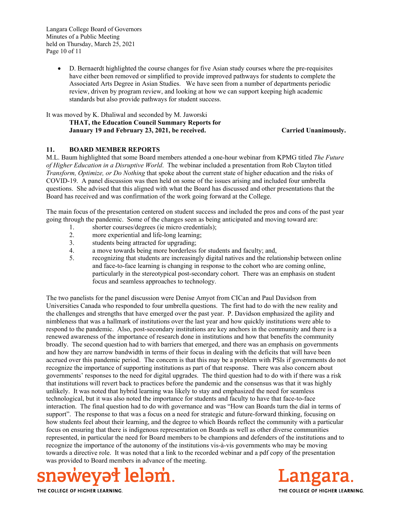Langara College Board of Governors Minutes of a Public Meeting held on Thursday, March 25, 2021 Page 10 of 11

> D. Bernaerdt highlighted the course changes for five Asian study courses where the pre-requisites have either been removed or simplified to provide improved pathways for students to complete the Associated Arts Degree in Asian Studies. We have seen from a number of departments periodic review, driven by program review, and looking at how we can support keeping high academic standards but also provide pathways for student success.

# It was moved by K. Dhaliwal and seconded by M. Jaworski **THAT, the Education Council Summary Reports for January 19 and February 23, 2021, be received. Carried Unanimously.**

# **11. BOARD MEMBER REPORTS**

M.L. Baum highlighted that some Board members attended a one-hour webinar from KPMG titled *The Future of Higher Education in a Disruptive World*. The webinar included a presentation from Rob Clayton titled *Transform, Optimize, or Do Nothing* that spoke about the current state of higher education and the risks of COVID-19. A panel discussion was then held on some of the issues arising and included four umbrella questions. She advised that this aligned with what the Board has discussed and other presentations that the Board has received and was confirmation of the work going forward at the College.

The main focus of the presentation centered on student success and included the pros and cons of the past year going through the pandemic. Some of the changes seen as being anticipated and moving toward are:

- 1. shorter courses/degrees (ie micro credentials);
- 2. more experiential and life-long learning;
- 3. students being attracted for upgrading;
- 4. a move towards being more borderless for students and faculty; and,
- 5. recognizing that students are increasingly digital natives and the relationship between online and face-to-face learning is changing in response to the cohort who are coming online, particularly in the stereotypical post-secondary cohort. There was an emphasis on student focus and seamless approaches to technology.

The two panelists for the panel discussion were Denise Amyot from CICan and Paul Davidson from Universities Canada who responded to four umbrella questions. The first had to do with the new reality and the challenges and strengths that have emerged over the past year. P. Davidson emphasized the agility and nimbleness that was a hallmark of institutions over the last year and how quickly institutions were able to respond to the pandemic. Also, post-secondary institutions are key anchors in the community and there is a renewed awareness of the importance of research done in institutions and how that benefits the community broadly. The second question had to with barriers that emerged, and there was an emphasis on governments and how they are narrow bandwidth in terms of their focus in dealing with the deficits that will have been accrued over this pandemic period. The concern is that this may be a problem with PSIs if governments do not recognize the importance of supporting institutions as part of that response. There was also concern about governments' responses to the need for digital upgrades. The third question had to do with if there was a risk that institutions will revert back to practices before the pandemic and the consensus was that it was highly unlikely. It was noted that hybrid learning was likely to stay and emphasized the need for seamless technological, but it was also noted the importance for students and faculty to have that face-to-face interaction. The final question had to do with governance and was "How can Boards turn the dial in terms of support". The response to that was a focus on a need for strategic and future-forward thinking, focusing on how students feel about their learning, and the degree to which Boards reflect the community with a particular focus on ensuring that there is indigenous representation on Boards as well as other diverse communities represented, in particular the need for Board members to be champions and defenders of the institutions and to recognize the importance of the autonomy of the institutions vis-à-vis governments who may be moving towards a directive role. It was noted that a link to the recorded webinar and a pdf copy of the presentation